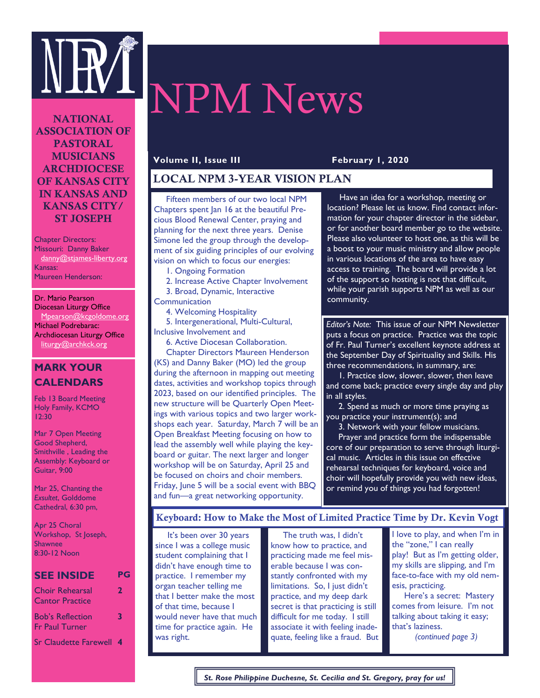

# NPM News

NATIONAL ASSOCIATION OF PASTORAL MUSICIANS ARCHDIOCESE OF KANSAS CITY IN KANSAS AND KANSAS CITY/ ST JOSEPH

Chapter Directors: Missouri: Danny Baker danny@stjames-liberty.org Kansas: Maureen Henderson:

Dr. Mario Pearson Diocesan Liturgy Office Mpearson@kcgoldome.org Michael Podrebarac: Archdiocesan Liturgy Office liturgy@archkck.org

# **MARK YOUR CALENDARS**

Feb 13 Board Meeting Holy Family, KCMO 12:30

Mar 7 Open Meeting Good Shepherd, Smithville , Leading the Assembly: Keyboard or Guitar, 9:00

Mar 25, Chanting the *Exsultet*, Golddome Cathedral, 6:30 pm,

Apr 25 Choral Workshop, St Joseph, Shawnee 8:30-12 Noon

#### **SEE INSIDE PG** Choir Rehearsal **2**

| 3 | <b>Cantor Practice</b>                    |  |
|---|-------------------------------------------|--|
|   | <b>Bob's Reflection</b><br>Fr Paul Turner |  |

Sr Claudette Farewell **4**

#### **Volume II, Issue III February 1, 2020**

# LOCAL NPM 3-YEAR VISION PLAN

 Fifteen members of our two local NPM Chapters spent Jan 16 at the beautiful Precious Blood Renewal Center, praying and planning for the next three years. Denise Simone led the group through the development of six guiding principles of our evolving vision on which to focus our energies:

1. Ongoing Formation

 2. Increase Active Chapter Involvement 3. Broad, Dynamic, Interactive

**Communication** 

4. Welcoming Hospitality

 5. Intergenerational, Multi-Cultural, Inclusive Involvement and

6. Active Diocesan Collaboration.

 Chapter Directors Maureen Henderson (KS) and Danny Baker (MO) led the group during the afternoon in mapping out meeting dates, activities and workshop topics through 2023, based on our identified principles. The new structure will be Quarterly Open Meetings with various topics and two larger workshops each year. Saturday, March 7 will be an Open Breakfast Meeting focusing on how to lead the assembly well while playing the keyboard or guitar. The next larger and longer workshop will be on Saturday, April 25 and be focused on choirs and choir members. Friday, June 5 will be a social event with BBQ and fun—a great networking opportunity.

 Have an idea for a workshop, meeting or location? Please let us know. Find contact information for your chapter director in the sidebar, or for another board member go to the website. Please also volunteer to host one, as this will be a boost to your music ministry and allow people in various locations of the area to have easy access to training. The board will provide a lot of the support so hosting is not that difficult, while your parish supports NPM as well as our community.

*Editor's Note:* This issue of our NPM Newsletter puts a focus on practice. Practice was the topic of Fr. Paul Turner's excellent keynote address at the September Day of Spirituality and Skills. His three recommendations, in summary, are:

 1. Practice slow, slower, slower, then leave and come back; practice every single day and play in all styles.

 2. Spend as much or more time praying as you practice your instrument(s); and

3. Network with your fellow musicians.

Prayer and practice form the indispensable core of our preparation to serve through liturgical music. Articles in this issue on effective rehearsal techniques for keyboard, voice and choir will hopefully provide you with new ideas, or remind you of things you had forgotten!

### Keyboard: How to Make the Most of Limited Practice Time by Dr. Kevin Vogt

 It's been over 30 years since I was a college music student complaining that I didn't have enough time to practice. I remember my organ teacher telling me that I better make the most of that time, because I would never have that much time for practice again. He was right.

 The truth was, I didn't know how to practice, and practicing made me feel miserable because I was constantly confronted with my limitations. So, I just didn't practice, and my deep dark secret is that practicing is still difficult for me today. I still associate it with feeling inadequate, feeling like a fraud. But I love to play, and when I'm in the "zone," I can really play! But as I'm getting older, my skills are slipping, and I'm face-to-face with my old nemesis, practicing.

 Here's a secret: Mastery comes from leisure. I'm not talking about taking it easy; that's laziness.

*(continued page 3)*

*St. Rose Philippine Duchesne, St. Cecilia and St. Gregory, pray for us!*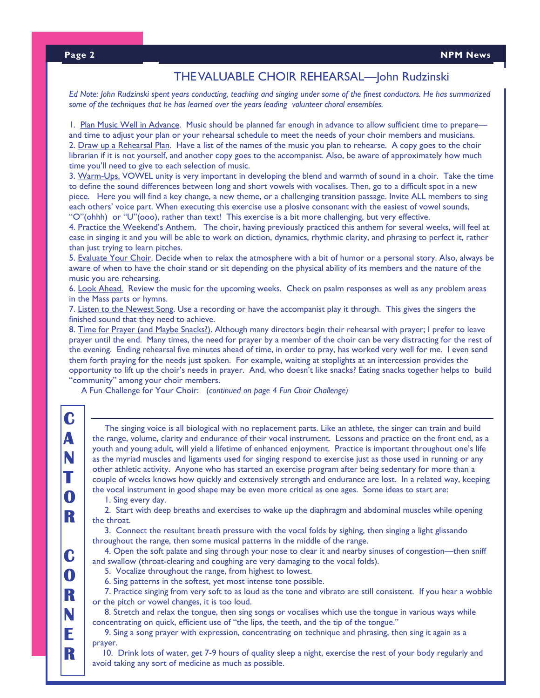# THE VALUABLE CHOIR REHEARSAL—John Rudzinski

*Ed Note: John Rudzinski spent years conducting, teaching and singing under some of the finest conductors. He has summarized some of the techniques that he has learned over the years leading volunteer choral ensembles.* 

 and time to adjust your plan or your rehearsal schedule to meet the needs of your choir members and musicians. 1. Plan Music Well in Advance. Music should be planned far enough in advance to allow sufficient time to prepare— 2. Draw up a Rehearsal Plan. Have a list of the names of the music you plan to rehearse. A copy goes to the choir librarian if it is not yourself, and another copy goes to the accompanist. Also, be aware of approximately how much time you'll need to give to each selection of music.

3. Warm-Ups. VOWEL unity is very important in developing the blend and warmth of sound in a choir. Take the time to define the sound differences between long and short vowels with vocalises. Then, go to a difficult spot in a new piece. Here you will find a key change, a new theme, or a challenging transition passage. Invite ALL members to sing each others' voice part. When executing this exercise use a plosive consonant with the easiest of vowel sounds, "O"(ohhh) or "U"(ooo), rather than text! This exercise is a bit more challenging, but very effective.

4. Practice the Weekend's Anthem. The choir, having previously practiced this anthem for several weeks, will feel at ease in singing it and you will be able to work on diction, dynamics, rhythmic clarity, and phrasing to perfect it, rather than just trying to learn pitches.

5. Evaluate Your Choir. Decide when to relax the atmosphere with a bit of humor or a personal story. Also, always be aware of when to have the choir stand or sit depending on the physical ability of its members and the nature of the music you are rehearsing.

6. Look Ahead. Review the music for the upcoming weeks. Check on psalm responses as well as any problem areas in the Mass parts or hymns.

7. Listen to the Newest Song. Use a recording or have the accompanist play it through. This gives the singers the finished sound that they need to achieve.

8. Time for Prayer (and Maybe Snacks?). Although many directors begin their rehearsal with prayer; I prefer to leave prayer until the end. Many times, the need for prayer by a member of the choir can be very distracting for the rest of the evening. Ending rehearsal five minutes ahead of time, in order to pray, has worked very well for me. I even send them forth praying for the needs just spoken. For example, waiting at stoplights at an intercession provides the opportunity to lift up the choir's needs in prayer. And, who doesn't like snacks? Eating snacks together helps to build "community" among your choir members.

A Fun Challenge for Your Choir: (*continued on page 4 Fun Choir Challenge)*

 The singing voice is all biological with no replacement parts. Like an athlete, the singer can train and build the range, volume, clarity and endurance of their vocal instrument. Lessons and practice on the front end, as a youth and young adult, will yield a lifetime of enhanced enjoyment. Practice is important throughout one's life as the myriad muscles and ligaments used for singing respond to exercise just as those used in running or any other athletic activity. Anyone who has started an exercise program after being sedentary for more than a couple of weeks knows how quickly and extensively strength and endurance are lost. In a related way, keeping the vocal instrument in good shape may be even more critical as one ages. Some ideas to start are:

1. Sing every day.

 2. Start with deep breaths and exercises to wake up the diaphragm and abdominal muscles while opening the throat.

 3. Connect the resultant breath pressure with the vocal folds by sighing, then singing a light glissando throughout the range, then some musical patterns in the middle of the range.

 4. Open the soft palate and sing through your nose to clear it and nearby sinuses of congestion—then sniff and swallow (throat-clearing and coughing are very damaging to the vocal folds).

- 5. Vocalize throughout the range, from highest to lowest.
- 6. Sing patterns in the softest, yet most intense tone possible.

 7. Practice singing from very soft to as loud as the tone and vibrato are still consistent. If you hear a wobble or the pitch or vowel changes, it is too loud.

 8. Stretch and relax the tongue, then sing songs or vocalises which use the tongue in various ways while concentrating on quick, efficient use of "the lips, the teeth, and the tip of the tongue."

 9. Sing a song prayer with expression, concentrating on technique and phrasing, then sing it again as a prayer.

 10. Drink lots of water, get 7-9 hours of quality sleep a night, exercise the rest of your body regularly and avoid taking any sort of medicine as much as possible.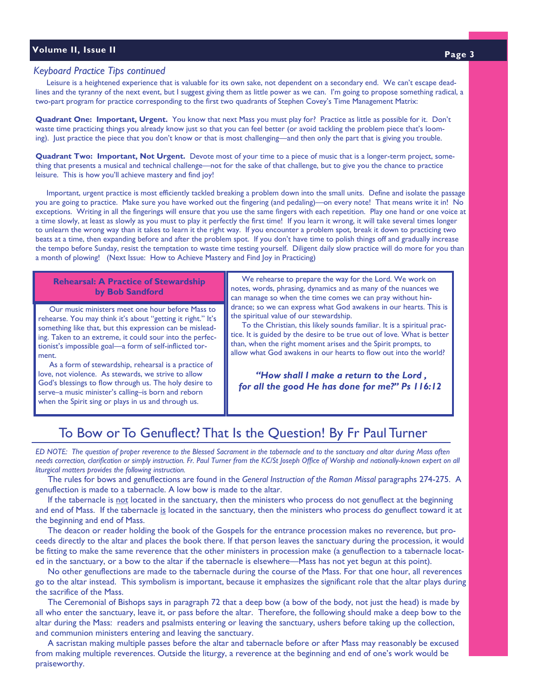# **Volume II, Issue II Page 3**

#### *Keyboard Practice Tips continued*

 Leisure is a heightened experience that is valuable for its own sake, not dependent on a secondary end. We can't escape deadlines and the tyranny of the next event, but I suggest giving them as little power as we can. I'm going to propose something radical, a two-part program for practice corresponding to the first two quadrants of Stephen Covey's Time Management Matrix:

**Quadrant One: Important, Urgent.** You know that next Mass you must play for? Practice as little as possible for it. Don't waste time practicing things you already know just so that you can feel better (or avoid tackling the problem piece that's looming). Just practice the piece that you don't know or that is most challenging—and then only the part that is giving you trouble.

**Quadrant Two: Important, Not Urgent.** Devote most of your time to a piece of music that is a longer-term project, something that presents a musical and technical challenge—not for the sake of that challenge, but to give you the chance to practice leisure. This is how you'll achieve mastery and find joy!

 Important, urgent practice is most efficiently tackled breaking a problem down into the small units. Define and isolate the passage you are going to practice. Make sure you have worked out the fingering (and pedaling)—on every note! That means write it in! No exceptions. Writing in all the fingerings will ensure that you use the same fingers with each repetition. Play one hand or one voice at a time slowly, at least as slowly as you must to play it perfectly the first time! If you learn it wrong, it will take several times longer to unlearn the wrong way than it takes to learn it the right way. If you encounter a problem spot, break it down to practicing two beats at a time, then expanding before and after the problem spot. If you don't have time to polish things off and gradually increase the tempo before Sunday, resist the temptation to waste time testing yourself. Diligent daily slow practice will do more for you than a month of plowing! (Next Issue: How to Achieve Mastery and Find Joy in Practicing)

#### **Rehearsal: A Practice of Stewardship by Bob Sandford**

 rehearse. You may think it's about "getting it right." It's Our music ministers meet one hour before Mass to something like that, but this expression can be misleading. Taken to an extreme, it could sour into the perfectionist's impossible goal—a form of self-inflicted torment.

 As a form of stewardship, rehearsal is a practice of love, not violence. As stewards, we strive to allow God's blessings to flow through us. The holy desire to serve–a music minister's calling–is born and reborn when the Spirit sing or plays in us and through us.

 We rehearse to prepare the way for the Lord. We work on notes, words, phrasing, dynamics and as many of the nuances we can manage so when the time comes we can pray without hindrance; so we can express what God awakens in our hearts. This is the spiritual value of our stewardship.

 To the Christian, this likely sounds familiar. It is a spiritual practice. It is guided by the desire to be true out of love. What is better than, when the right moment arises and the Spirit prompts, to allow what God awakens in our hearts to flow out into the world?

*"How shall I make a return to the Lord , for all the good He has done for me?" Ps 116:12*

# To Bow or To Genuflect? That Is the Question! By Fr Paul Turner

*ED NOTE: The question of proper reverence to the Blessed Sacrament in the tabernacle and to the sanctuary and altar during Mass often needs correction, clarification or simply instruction. Fr. Paul Turner from the KC/St Joseph Office of Worship and nationally-known expert on all liturgical matters provides the following instruction.*

 The rules for bows and genuflections are found in the *General Instruction of the Roman Missal* paragraphs 274-275. A genuflection is made to a tabernacle. A low bow is made to the altar.

If the tabernacle is not located in the sanctuary, then the ministers who process do not genuflect at the beginning and end of Mass. If the tabernacle is located in the sanctuary, then the ministers who process do genuflect toward it at the beginning and end of Mass.

 The deacon or reader holding the book of the Gospels for the entrance procession makes no reverence, but proceeds directly to the altar and places the book there. If that person leaves the sanctuary during the procession, it would be fitting to make the same reverence that the other ministers in procession make (a genuflection to a tabernacle located in the sanctuary, or a bow to the altar if the tabernacle is elsewhere—Mass has not yet begun at this point).

 No other genuflections are made to the tabernacle during the course of the Mass. For that one hour, all reverences go to the altar instead. This symbolism is important, because it emphasizes the significant role that the altar plays during the sacrifice of the Mass.

 The Ceremonial of Bishops says in paragraph 72 that a deep bow (a bow of the body, not just the head) is made by all who enter the sanctuary, leave it, or pass before the altar. Therefore, the following should make a deep bow to the altar during the Mass: readers and psalmists entering or leaving the sanctuary, ushers before taking up the collection, and communion ministers entering and leaving the sanctuary.

 A sacristan making multiple passes before the altar and tabernacle before or after Mass may reasonably be excused from making multiple reverences. Outside the liturgy, a reverence at the beginning and end of one's work would be praiseworthy.